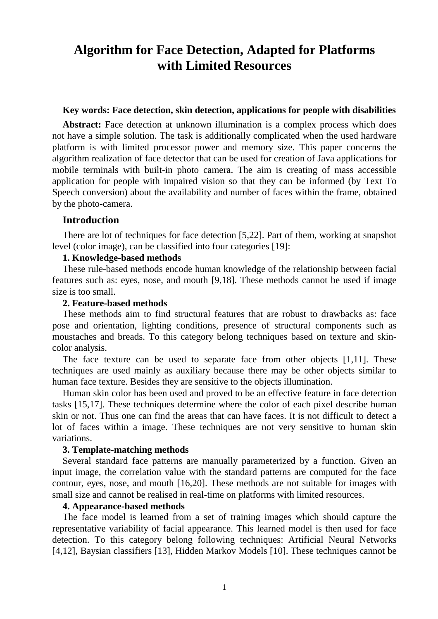# **Algorithm for Face Detection, Adapted for Platforms with Limited Resources**

#### **Key words: Face detection, skin detection, applications for people with disabilities**

 **Abstract:** Face detection at unknown illumination is a complex process which does not have a simple solution. The task is additionally complicated when the used hardware platform is with limited processor power and memory size. This paper concerns the algorithm realization of face detector that can be used for creation of Java applications for mobile terminals with built-in photo camera. The aim is creating of mass accessible application for people with impaired vision so that they can be informed (by Text To Speech conversion) about the availability and number of faces within the frame, obtained by the photo-camera.

#### **Introduction**

 There are lot of techniques for face detection [5,22]. Part of them, working at snapshot level (color image), can be classified into four categories [19]:

#### **1. Knowledge-based methods**

 These rule-based methods encode human knowledge of the relationship between facial features such as: eyes, nose, and mouth [9,18]. These methods cannot be used if image size is too small.

#### **2. Feature-based methods**

 These methods aim to find structural features that are robust to drawbacks as: face pose and orientation, lighting conditions, presence of structural components such as moustaches and breads. To this category belong techniques based on texture and skincolor analysis.

 The face texture can be used to separate face from other objects [1,11]. These techniques are used mainly as auxiliary because there may be other objects similar to human face texture. Besides they are sensitive to the objects illumination.

 Human skin color has been used and proved to be an effective feature in face detection tasks [15,17]. These techniques determine where the color of each pixel describe human skin or not. Thus one can find the areas that can have faces. It is not difficult to detect a lot of faces within a image. These techniques are not very sensitive to human skin variations.

#### **3. Template-matching methods**

 Several standard face patterns are manually parameterized by a function. Given an input image, the correlation value with the standard patterns are computed for the face contour, eyes, nose, and mouth [16,20]. These methods are not suitable for images with small size and cannot be realised in real-time on platforms with limited resources.

#### **4. Appearance-based methods**

 The face model is learned from a set of training images which should capture the representative variability of facial appearance. This learned model is then used for face detection. To this category belong following techniques: Artificial Neural Networks [4,12], Baysian classifiers [13], Hidden Markov Models [10]. These techniques cannot be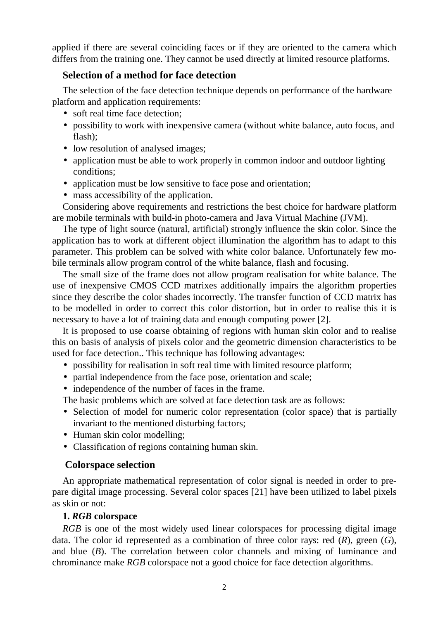applied if there are several coinciding faces or if they are oriented to the camera which differs from the training one. They cannot be used directly at limited resource platforms.

# **Selection of a method for face detection**

 The selection of the face detection technique depends on performance of the hardware platform and application requirements:

- soft real time face detection;
- possibility to work with inexpensive camera (without white balance, auto focus, and flash);
- low resolution of analysed images;
- application must be able to work properly in common indoor and outdoor lighting conditions;
- application must be low sensitive to face pose and orientation;
- mass accessibility of the application.

 Considering above requirements and restrictions the best choice for hardware platform are mobile terminals with build-in photo-camera and Java Virtual Machine (JVM).

 The type of light source (natural, artificial) strongly influence the skin color. Since the application has to work at different object illumination the algorithm has to adapt to this parameter. This problem can be solved with white color balance. Unfortunately few mobile terminals allow program control of the white balance, flash and focusing.

 The small size of the frame does not allow program realisation for white balance. The use of inexpensive CMOS CCD matrixes additionally impairs the algorithm properties since they describe the color shades incorrectly. The transfer function of CCD matrix has to be modelled in order to correct this color distortion, but in order to realise this it is necessary to have a lot of training data and enough computing power [2].

 It is proposed to use coarse obtaining of regions with human skin color and to realise this on basis of analysis of pixels color and the geometric dimension characteristics to be used for face detection.. This technique has following advantages:

- possibility for realisation in soft real time with limited resource platform;
- partial independence from the face pose, orientation and scale;
- independence of the number of faces in the frame.

The basic problems which are solved at face detection task are as follows:

- Selection of model for numeric color representation (color space) that is partially invariant to the mentioned disturbing factors;
- Human skin color modelling;
- Classification of regions containing human skin.

# **Colorspace selection**

 An appropriate mathematical representation of color signal is needed in order to prepare digital image processing. Several color spaces [21] have been utilized to label pixels as skin or not:

#### **1.** *RGB* **colorspace**

*RGB* is one of the most widely used linear colorspaces for processing digital image data. The color id represented as a combination of three color rays: red (*R*), green (*G*), and blue (*B*). The correlation between color channels and mixing of luminance and chrominance make *RGB* colorspace not a good choice for face detection algorithms.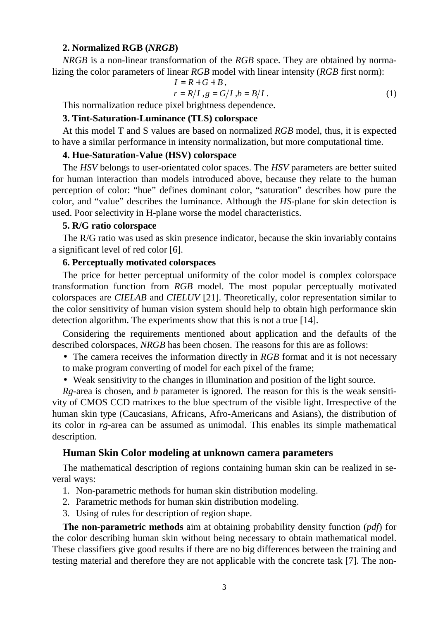#### **2. Normalized RGB (***NRGB***)**

*NRGB* is a non-linear transformation of the *RGB* space. They are obtained by normalizing the color parameters of linear *RGB* model with linear intensity (*RGB* first norm):

$$
I = R + G + B,
$$
  
\n
$$
r = R/I, g = G/I, b = B/I.
$$
 (1)

This normalization reduce pixel brightness dependence.

#### **3. Tint-Saturation-Luminance (TLS) colorspace**

 At this model T and S values are based on normalized *RGB* model, thus, it is expected to have a similar performance in intensity normalization, but more computational time.

#### **4. Hue-Saturation-Value (HSV) colorspace**

 The *HSV* belongs to user-orientated color spaces. The *HSV* parameters are better suited for human interaction than models introduced above, because they relate to the human perception of color: "hue" defines dominant color, "saturation" describes how pure the color, and "value" describes the luminance. Although the *HS*-plane for skin detection is used. Poor selectivity in H-plane worse the model characteristics.

#### **5. R/G ratio colorspace**

 The R/G ratio was used as skin presence indicator, because the skin invariably contains a significant level of red color [6].

#### **6. Perceptually motivated colorspaces**

 The price for better perceptual uniformity of the color model is complex colorspace transformation function from *RGB* model. The most popular perceptually motivated colorspaces are *CIELAB* and *CIELUV* [21]. Theoretically, color representation similar to the color sensitivity of human vision system should help to obtain high performance skin detection algorithm. The experiments show that this is not a true [14].

 Considering the requirements mentioned about application and the defaults of the described colorspaces, *NRGB* has been chosen. The reasons for this are as follows:

- The camera receives the information directly in *RGB* format and it is not necessary to make program converting of model for each pixel of the frame;
- Weak sensitivity to the changes in illumination and position of the light source.

 *Rg*-area is chosen, and *b* parameter is ignored. The reason for this is the weak sensitivity of CMOS CCD matrixes to the blue spectrum of the visible light. Irrespective of the human skin type (Caucasians, Africans, Afro-Americans and Asians), the distribution of its color in *rg*-area can be assumed as unimodal. This enables its simple mathematical description.

#### **Human Skin Color modeling at unknown camera parameters**

 The mathematical description of regions containing human skin can be realized in several ways:

- 1. Non-parametric methods for human skin distribution modeling.
- 2. Parametric methods for human skin distribution modeling.
- 3. Using of rules for description of region shape.

 **The non-parametric methods** aim at obtaining probability density function (*pdf*) for the color describing human skin without being necessary to obtain mathematical model. These classifiers give good results if there are no big differences between the training and testing material and therefore they are not applicable with the concrete task [7]. The non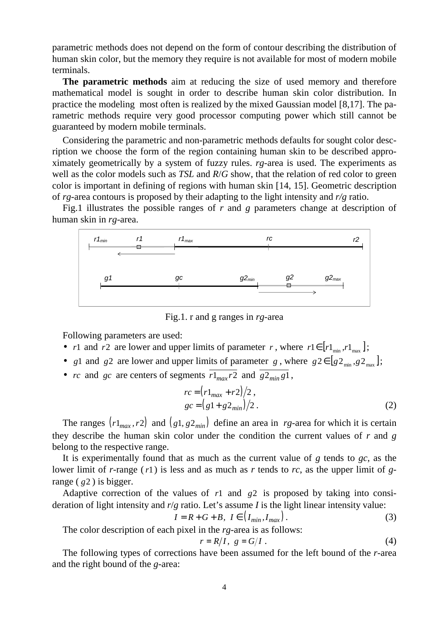parametric methods does not depend on the form of contour describing the distribution of human skin color, but the memory they require is not available for most of modern mobile terminals.

 **The parametric methods** aim at reducing the size of used memory and therefore mathematical model is sought in order to describe human skin color distribution. In practice the modeling most often is realized by the mixed Gaussian model [8,17]. The parametric methods require very good processor computing power which still cannot be guaranteed by modern mobile terminals.

 Considering the parametric and non-parametric methods defaults for sought color description we choose the form of the region containing human skin to be described approximately geometrically by a system of fuzzy rules. *rg*-area is used. The experiments as well as the color models such as *TSL* and *R*/*G* show, that the relation of red color to green color is important in defining of regions with human skin [14, 15]. Geometric description of *rg*-area contours is proposed by their adapting to the light intensity and *r/g* ratio.

 Fig.1 illustrates the possible ranges of *r* and *g* parameters change at description of human skin in *rg*-area.



Fig.1. r and g ranges in *rg*-area

Following parameters are used:

- *r*1 and *r*2 are lower and upper limits of parameter *r*, where  $r1 \in [r1_{min}, r1_{max}]$ ;
- *g*1 and *g*2 are lower and upper limits of parameter *g*, where  $g_2 \in [ g_2_{\min}, g_2_{\max} ]$ ;
- *rc* and *gc* are centers of segments  $\overline{r1_{max}r2}$  and  $\overline{g2_{min}g1}$ ,

$$
rc = (r1_{max} + r2)/2,
$$
  
\n
$$
gc = (g1 + g2_{min})/2.
$$
\n(2)

The ranges  $(r1_{max}, r2)$  and  $(g1, g2_{min})$  define an area in *rg*-area for which it is certain they describe the human skin color under the condition the current values of *r* and *g* belong to the respective range.

 It is experimentally found that as much as the current value of *g* tends to *gc*, as the lower limit of *r*-range (*r*1) is less and as much as *r* tends to *rc*, as the upper limit of *g*range ( *g*2 ) is bigger.

 Adaptive correction of the values of *r*1 and *g*2 is proposed by taking into consideration of light intensity and *r*/*g* ratio. Let's assume *I* is the light linear intensity value:

$$
I = R + G + B, \ I \in \left( I_{min}, I_{max} \right). \tag{3}
$$

The color description of each pixel in the *rg*-area is as follows:

$$
r = R/I, \quad g = G/I \tag{4}
$$

 The following types of corrections have been assumed for the left bound of the *r*-area and the right bound of the *g*-area: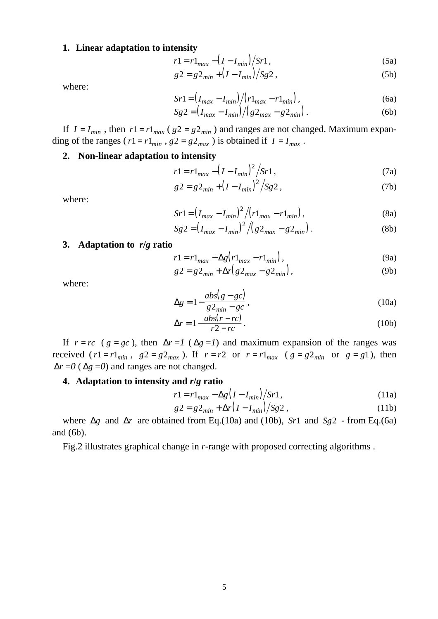#### **1. Linear adaptation to intensity**

$$
r1 = r1_{max} - (I - I_{min})/Sr1,
$$
\n(5a)

$$
g2 = g2_{min} + (I - I_{min})/Sg2, \qquad (5b)
$$

where:

$$
Sr1 = (I_{max} - I_{min})/(r1_{max} - r1_{min}),
$$
\n(6a)

$$
Sg2 = (I_{max} - I_{min}) / (g2_{max} - g2_{min}).
$$
 (6b)

If  $I = I_{min}$ , then  $r1 = r1_{max}$  ( $g2 = g2_{min}$ ) and ranges are not changed. Maximum expanding of the ranges ( $r1 = r1_{min}$ ,  $g2 = g2_{max}$ ) is obtained if  $I = I_{max}$ .

#### **2. Non-linear adaptation to intensity**

$$
r1 = r1_{max} - (I - I_{min})^2 / Sr1,
$$
 (7a)

$$
g2 = g2_{min} + (I - I_{min})^2 / Sg2, \qquad (7b)
$$

where:

$$
Sr1 = (I_{max} - I_{min})^2 / (r1_{max} - r1_{min}),
$$
\n(8a)

$$
Sg2 = \left(I_{max} - I_{min}\right)^2 / \left(g2_{max} - g2_{min}\right).
$$
 (8b)

#### **3. Adaptation to** *r***/***g* **ratio**

$$
r1 = r1_{max} - \Delta g \left( r1_{max} - r1_{min} \right),\tag{9a}
$$

$$
g2 = g2_{min} + \Delta r (g2_{max} - g2_{min}),
$$
 (9b)

where:

$$
\Delta g = 1 - \frac{abs(g - gc)}{g2_{min} - gc},
$$
\n(10a)

$$
\Delta r = 1 - \frac{abs(r - rc)}{r2 - rc} \,. \tag{10b}
$$

If  $r = rc$  ( $g = gc$ ), then  $\Delta r = 1$  ( $\Delta g = 1$ ) and maximum expansion of the ranges was received ( $r1 = r1_{min}$ ,  $g2 = g2_{max}$ ). If  $r = r2$  or  $r = r1_{max}$  ( $g = g2_{min}$  or  $g = g1$ ), then  $\Delta r = 0$  ( $\Delta g = 0$ ) and ranges are not changed.

#### **4. Adaptation to intensity and** *r***/***g* **ratio**

$$
r1 = r1_{max} - \Delta g \left( I - I_{min} \right) / Sr1, \qquad (11a)
$$

$$
g2 = g2_{min} + \Delta r (I - I_{min}) / Sg2 ,
$$
 (11b)

 where ∆*g* and ∆*r* are obtained from Eq.(10а) and (10b), *Sr*1 and *Sg*2 - from Eq.(6a) and (6b).

Fig.2 illustrates graphical change in *r*-range with proposed correcting algorithms .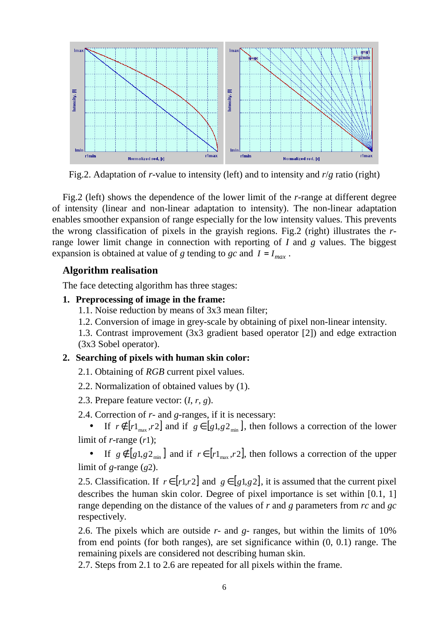

Fig.2. Adaptation of *r*-value to intensity (left) and to intensity and *r*/*g* ratio (right)

 Fig.2 (left) shows the dependence of the lower limit of the *r*-range at different degree of intensity (linear and non-linear adaptation to intensity). The non-linear adaptation enables smoother expansion of range especially for the low intensity values. This prevents the wrong classification of pixels in the grayish regions. Fig.2 (right) illustrates the *r*range lower limit change in connection with reporting of *I* and *g* values. The biggest expansion is obtained at value of *g* tending to *gc* and  $I = I_{max}$ .

# **Algorithm realisation**

The face detecting algorithm has three stages:

# **1. Preprocessing of image in the frame:**

- 1.1. Noise reduction by means of 3x3 mean filter;
- 1.2. Conversion of image in grey-scale by obtaining of pixel non-linear intensity.

1.3. Contrast improvement (3x3 gradient based operator [2]) and edge extraction (3x3 Sobel operator).

# **2. Searching of pixels with human skin color:**

- 2.1. Obtaining of *RGB* current pixel values.
- 2.2. Normalization of obtained values by (1).
- 2.3. Prepare feature vector: (*I*, *r*, *g*).
- 2.4. Correction of *r* and *g*-ranges, if it is necessary:

• If  $r \notin [r]_{max}$ ,  $r2$  and if  $g \in [g1, g2_{min}]$ , then follows a correction of the lower limit of *r*-range (*r*1);

• If  $g \notin [g_1, g_2]_{\min}$  and if  $r \in [r_1, r_2]$ , then follows a correction of the upper limit of *g*-range (*g*2).

2.5. Classification. If  $r \in [r \cdot 1, r \cdot 2]$  and  $g \in [g \cdot 1, g \cdot 2]$ , it is assumed that the current pixel describes the human skin color. Degree of pixel importance is set within [0.1, 1] range depending on the distance of the values of *r* and *g* parameters from *rc* and *gc* respectively.

2.6. The pixels which are outside *r*- and *g*- ranges, but within the limits of 10% from end points (for both ranges), are set significance within (0, 0.1) range. The remaining pixels are considered not describing human skin.

2.7. Steps from 2.1 to 2.6 are repeated for all pixels within the frame.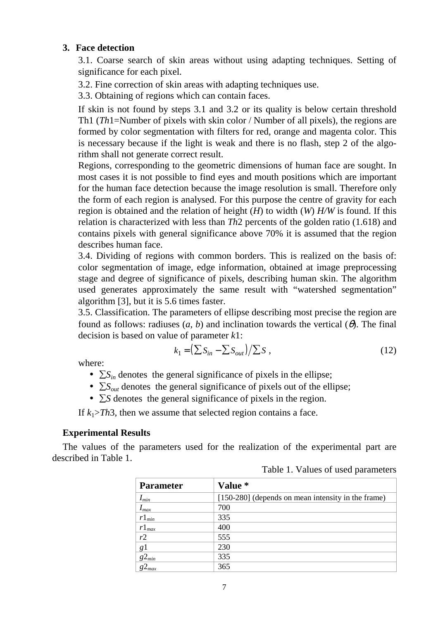#### **3. Face detection**

3.1. Coarse search of skin areas without using adapting techniques. Setting of significance for each pixel.

3.2. Fine correction of skin areas with adapting techniques use.

3.3. Obtaining of regions which can contain faces.

If skin is not found by steps 3.1 and 3.2 or its quality is below certain threshold Th1 (*Th*1=Number of pixels with skin color / Number of all pixels), the regions are formed by color segmentation with filters for red, orange and magenta color. This is necessary because if the light is weak and there is no flash, step 2 of the algorithm shall not generate correct result.

Regions, corresponding to the geometric dimensions of human face are sought. In most cases it is not possible to find eyes and mouth positions which are important for the human face detection because the image resolution is small. Therefore only the form of each region is analysed. For this purpose the centre of gravity for each region is obtained and the relation of height (*H*) to width (*W*) *H/W* is found. If this relation is characterized with less than *Th*2 percents of the golden ratio (1.618) and contains pixels with general significance above 70% it is assumed that the region describes human face.

3.4. Dividing of regions with common borders. This is realized on the basis of: color segmentation of image, edge information, obtained at image preprocessing stage and degree of significance of pixels, describing human skin. The algorithm used generates approximately the same result with "watershed segmentation" algorithm [3], but it is 5.6 times faster.

3.5. Classification. The parameters of ellipse describing most precise the region are found as follows: radiuses  $(a, b)$  and inclination towards the vertical  $(\theta)$ . The final decision is based on value of parameter *k*1:

$$
k_1 = \left(\sum S_{in} - \sum S_{out}\right) / \sum S\tag{12}
$$

where:

- $\sum S_{in}$  denotes the general significance of pixels in the ellipse;
- ∑*Sout* denotes the general significance of pixels out of the ellipse;
- ∑*S* denotes the general significance of pixels in the region.

If  $k_1$ >*Th*3, then we assume that selected region contains a face.

#### **Experimental Results**

The values of the parameters used for the realization of the experimental part are described in Table 1.

Table 1. Values of used parameters

| <b>Parameter</b> | Value *                                            |
|------------------|----------------------------------------------------|
| $I_{min}$        | [150-280] (depends on mean intensity in the frame) |
| $I_{max}$        | 700                                                |
| $r1_{min}$       | 335                                                |
| $r1_{max}$       | 400                                                |
| r2               | 555                                                |
| g <sub>1</sub>   | 230                                                |
| $g_{min}$        | 335                                                |
| $g_{max}$        | 365                                                |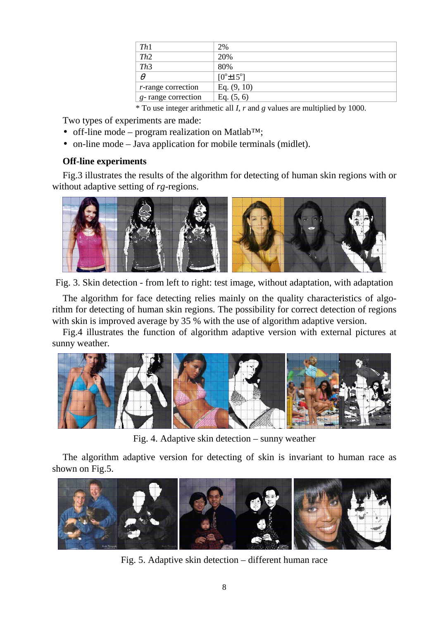| Th1                        | 2%                           |
|----------------------------|------------------------------|
| Th2                        | 20%                          |
| Th3                        | 80%                          |
| $\theta$                   | $[0^{\circ} \pm 15^{\circ}]$ |
| <i>r</i> -range correction | Eq. $(9, 10)$                |
| g-range correction         | Eq. $(5, 6)$                 |

\* To use integer arithmetic all *I*, *r* and *g* values are multiplied by 1000.

Two types of experiments are made:

- off-line mode program realization on Matlab<sup>TM</sup>;
- on-line mode Java application for mobile terminals (midlet).

# **Off-line experiments**

 Fig.3 illustrates the results of the algorithm for detecting of human skin regions with or without adaptive setting of *rg*-regions.



Fig. 3. Skin detection - from left to right: test image, without adaptation, with adaptation

The algorithm for face detecting relies mainly on the quality characteristics of algorithm for detecting of human skin regions. The possibility for correct detection of regions with skin is improved average by 35 % with the use of algorithm adaptive version.

 Fig.4 illustrates the function of algorithm adaptive version with external pictures at sunny weather.



Fig. 4. Adaptive skin detection – sunny weather

 The algorithm adaptive version for detecting of skin is invariant to human race as shown on Fig.5.



Fig. 5. Adaptive skin detection – different human race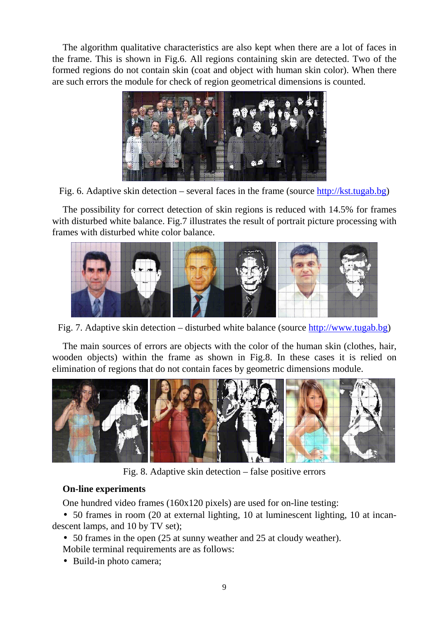The algorithm qualitative characteristics are also kept when there are a lot of faces in the frame. This is shown in Fig.6. All regions containing skin are detected. Two of the formed regions do not contain skin (coat and object with human skin color). When there are such errors the module for check of region geometrical dimensions is counted.



Fig. 6. Adaptive skin detection – several faces in the frame (source http://kst.tugab.bg)

 The possibility for correct detection of skin regions is reduced with 14.5% for frames with disturbed white balance. Fig.7 illustrates the result of portrait picture processing with frames with disturbed white color balance.



Fig. 7. Adaptive skin detection – disturbed white balance (source http://www.tugab.bg)

 The main sources of errors are objects with the color of the human skin (clothes, hair, wooden objects) within the frame as shown in Fig.8. In these cases it is relied on elimination of regions that do not contain faces by geometric dimensions module.



Fig. 8. Adaptive skin detection – false positive errors

# **On-line experiments**

One hundred video frames (160x120 pixels) are used for on-line testing:

• 50 frames in room (20 at external lighting, 10 at luminescent lighting, 10 at incandescent lamps, and 10 by TV set);

• 50 frames in the open (25 at sunny weather and 25 at cloudy weather). Mobile terminal requirements are as follows:

• Build-in photo camera;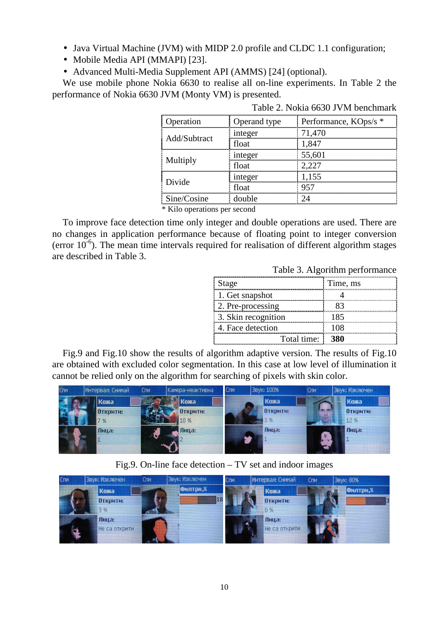- Java Virtual Machine (JVM) with MIDP 2.0 profile and CLDC 1.1 configuration;
- Mobile Media API (MMAPI) [23].
- Advanced Multi-Media Supplement API (AMMS) [24] (optional).

 We use mobile phone Nokia 6630 to realise all on-line experiments. In Table 2 the performance of Nokia 6630 JVM (Monty VM) is presented.

| <b>D</b> peration              | Operand type | Performance, KOps/s * |  |  |
|--------------------------------|--------------|-----------------------|--|--|
| Add/Subtract                   | integer      | 71,470                |  |  |
|                                | float        | 1.847                 |  |  |
| Multiply                       | integer      | 55,601                |  |  |
|                                | $f$ $\Omega$ | 2.227                 |  |  |
| Divide                         | integer      | 1,155                 |  |  |
|                                | float        | 957                   |  |  |
| Sine/Cosine                    | double       |                       |  |  |
| $*$ Kilo operations per second |              |                       |  |  |

Table 2. Nokia 6630 JVМ benchmark

Kilo operations per second

 To improve face detection time only integer and double operations are used. There are no changes in application performance because of floating point to integer conversion (error  $10^{-6}$ ). The mean time intervals required for realisation of different algorithm stages are described in Table 3.

Table 3. Algorithm performance

| Stage               | Time, ms |
|---------------------|----------|
| 1. Get snapshot     |          |
| 2. Pre-processing   |          |
| 3. Skin recognition | 185      |
| 4. Face detection   |          |
| Total time: 380     |          |

 Fig.9 and Fig.10 show the results of algorithm adaptive version. The results of Fig.10 are obtained with excluded color segmentation. In this case at low level of illumination it cannot be relied only on the algorithm for searching of pixels with skin color.



Fig.9. On-line face detection – TV set and indoor images

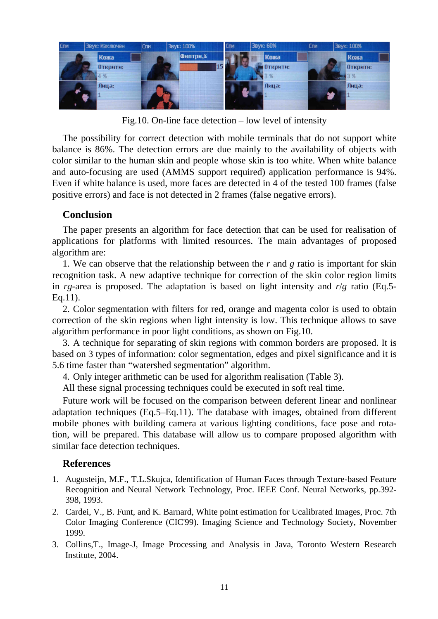

Fig.10. On-line face detection – low level of intensity

The possibility for correct detection with mobile terminals that do not support white balance is 86%. The detection errors are due mainly to the availability of objects with color similar to the human skin and people whose skin is too white. When white balance and auto-focusing are used (AMMS support required) application performance is 94%. Even if white balance is used, more faces are detected in 4 of the tested 100 frames (false positive errors) and face is not detected in 2 frames (false negative errors).

# **Conclusion**

 The paper presents an algorithm for face detection that can be used for realisation of applications for platforms with limited resources. The main advantages of proposed algorithm are:

1. We can observe that the relationship between the *r* and *g* ratio is important for skin recognition task. A new adaptive technique for correction of the skin color region limits in *rg*-area is proposed. The adaptation is based on light intensity and *r*/*g* ratio (Eq.5- Eq.11).

2. Color segmentation with filters for red, orange and magenta color is used to obtain correction of the skin regions when light intensity is low. This technique allows to save algorithm performance in poor light conditions, as shown on Fig.10.

3. A technique for separating of skin regions with common borders are proposed. It is based on 3 types of information: color segmentation, edges and pixel significance and it is 5.6 time faster than "watershed segmentation" algorithm.

4. Only integer arithmetic can be used for algorithm realisation (Table 3).

All these signal processing techniques could be executed in soft real time.

 Future work will be focused on the comparison between deferent linear and nonlinear adaptation techniques (Eq.5–Eq.11). The database with images, obtained from different mobile phones with building camera at various lighting conditions, face pose and rotation, will be prepared. This database will allow us to compare proposed algorithm with similar face detection techniques.

# **References**

- 1. Augusteijn, M.F., T.L.Skujca, Identification of Human Faces through Texture-based Feature Recognition and Neural Network Technology, Proc. IEEE Conf. Neural Networks, pp.392- 398, 1993.
- 2. Cardei, V., B. Funt, and K. Barnard, White point estimation for Ucalibrated Images, Proc. 7th Color Imaging Conference (CIC'99). Imaging Science and Technology Society, November 1999.
- 3. Collins,T., Image-J, Image Processing and Analysis in Java, Toronto Western Research Institute, 2004.